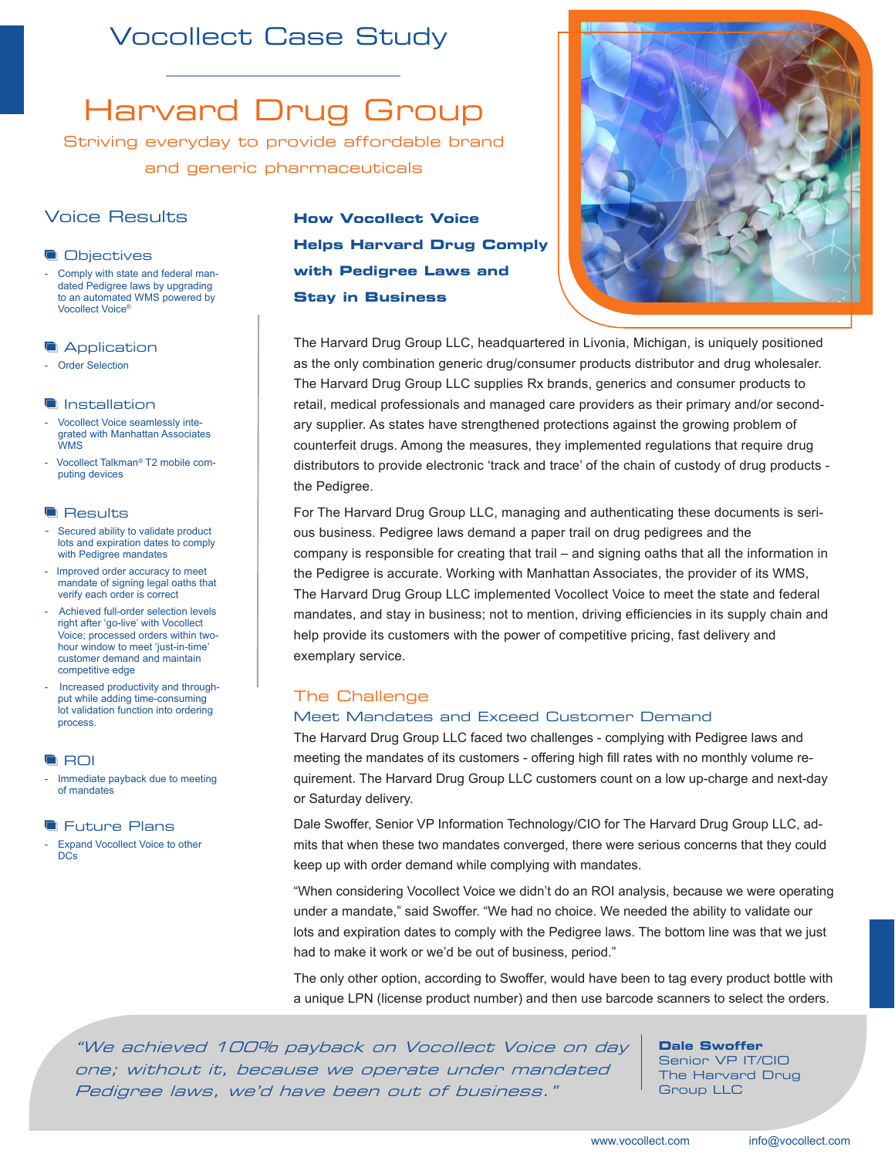# Vocollect Case Study

# Harvard Drug Group

Striving everyday to provide affordable brand and generic pharmaceuticals

# Voice Results

### **Objectives**

Comply with state and federal mandated Pedigree laws by upgrading to an automated WMS powered by Vocollect Voice®

**Application** 

- Order Selection

### **Installation**

- Vocollect Voice seamlessly integrated with Manhattan Associates WMS
- Vocollect Talkman*®* T2 mobile computing devices

### **Results**

- Secured ability to validate product lots and expiration dates to comply with Pedigree mandates
- Improved order accuracy to meet mandate of signing legal oaths that verify each order is correct
- Achieved full-order selection levels right after 'go-live' with Vocollect Voice; processed orders within twohour window to meet 'just-in-time' customer demand and maintain competitive edge
- Increased productivity and throughput while adding time-consuming lot validation function into ordering process.

**ROI** 

Immediate payback due to meeting of mandates

### **Future Plans**

Expand Vocollect Voice to other **DCs** 

# **How Vocollect Voice Helps Harvard Drug Comply with Pedigree Laws and Stay in Business**



The Harvard Drug Group LLC, headquartered in Livonia, Michigan, is uniquely positioned as the only combination generic drug/consumer products distributor and drug wholesaler. The Harvard Drug Group LLC supplies Rx brands, generics and consumer products to retail, medical professionals and managed care providers as their primary and/or secondary supplier. As states have strengthened protections against the growing problem of counterfeit drugs. Among the measures, they implemented regulations that require drug distributors to provide electronic 'track and trace' of the chain of custody of drug products the Pedigree.

For The Harvard Drug Group LLC, managing and authenticating these documents is serious business. Pedigree laws demand a paper trail on drug pedigrees and the company is responsible for creating that trail – and signing oaths that all the information in the Pedigree is accurate. Working with Manhattan Associates, the provider of its WMS, The Harvard Drug Group LLC implemented Vocollect Voice to meet the state and federal mandates, and stay in business; not to mention, driving efficiencies in its supply chain and help provide its customers with the power of competitive pricing, fast delivery and exemplary service.

# The Challenge

### Meet Mandates and Exceed Customer Demand

The Harvard Drug Group LLC faced two challenges - complying with Pedigree laws and meeting the mandates of its customers - offering high fill rates with no monthly volume requirement. The Harvard Drug Group LLC customers count on a low up-charge and next-day or Saturday delivery.

Dale Swoffer, Senior VP Information Technology/CIO for The Harvard Drug Group LLC, admits that when these two mandates converged, there were serious concerns that they could keep up with order demand while complying with mandates.

"When considering Vocollect Voice we didn't do an ROI analysis, because we were operating under a mandate," said Swoffer. "We had no choice. We needed the ability to validate our lots and expiration dates to comply with the Pedigree laws. The bottom line was that we just had to make it work or we'd be out of business, period."

The only other option, according to Swoffer, would have been to tag every product bottle with a unique LPN (license product number) and then use barcode scanners to select the orders.

"We achieved 100% payback on Vocollect Voice on day one; without it, because we operate under mandated Pedigree laws, we'd have been out of business."

**Dale Swoffer** 

Senior VP IT/CIO The Harvard Drug Group LLC